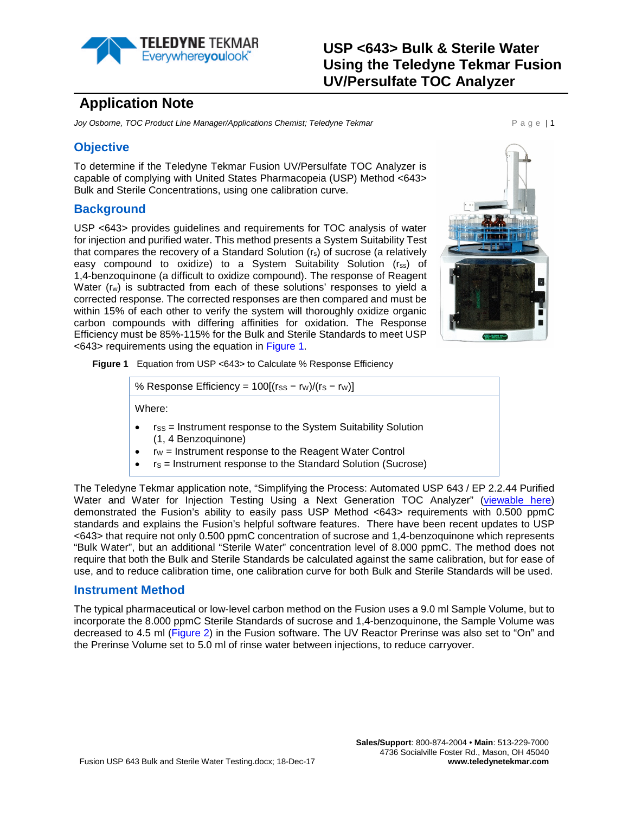

# **Application Note**

**Joy Osborne, TOC Product Line Manager/Applications Chemist; Teledyne Tekmar Page 11 Page 11** 

## **Objective**

To determine if the Teledyne Tekmar Fusion UV/Persulfate TOC Analyzer is capable of complying with United States Pharmacopeia (USP) Method <643> Bulk and Sterile Concentrations, using one calibration curve.

## **Background**

USP <643> provides guidelines and requirements for TOC analysis of water for injection and purified water. This method presents a System Suitability Test that compares the recovery of a Standard Solution (rs) of sucrose (a relatively easy compound to oxidize) to a System Suitability Solution (rss) of 1,4-benzoquinone (a difficult to oxidize compound). The response of Reagent Water (rw) is subtracted from each of these solutions' responses to yield a corrected response. The corrected responses are then compared and must be within 15% of each other to verify the system will thoroughly oxidize organic carbon compounds with differing affinities for oxidation. The Response Efficiency must be 85%-115% for the Bulk and Sterile Standards to meet USP <643> requirements using the equation in [Figure 1.](#page-0-0)



<span id="page-0-0"></span>**Figure 1** Equation from USP <643> to Calculate % Response Efficiency

% Response Efficiency = 
$$
100[(rss - rw)/(rs - rw)]
$$

Where:

- $r_{SS}$  = Instrument response to the System Suitability Solution (1, 4 Benzoquinone)
- $rw =$  Instrument response to the Reagent Water Control
- $rs =$  Instrument response to the Standard Solution (Sucrose)

The Teledyne Tekmar application note, "Simplifying the Process: Automated USP 643 / EP 2.2.44 Purified Water and Water for Injection Testing Using a Next Generation TOC Analyzer" [\(viewable](http://www.teledynetekmar.com/resources/Application%20Notes/Simplifying%20the%20Process_Automated%20USP%20643_EP%202_2_44%20Purified%20Water%20and%20Water%20For%20Injection%20Testing%20Using%20A%20Next%20Generation%20TOC%20Analyzer.pdf) here) demonstrated the Fusion's ability to easily pass USP Method <643> requirements with 0.500 ppmC standards and explains the Fusion's helpful software features. There have been recent updates to USP <643> that require not only 0.500 ppmC concentration of sucrose and 1,4-benzoquinone which represents "Bulk Water", but an additional "Sterile Water" concentration level of 8.000 ppmC. The method does not require that both the Bulk and Sterile Standards be calculated against the same calibration, but for ease of use, and to reduce calibration time, one calibration curve for both Bulk and Sterile Standards will be used.

### **Instrument Method**

The typical pharmaceutical or low-level carbon method on the Fusion uses a 9.0 ml Sample Volume, but to incorporate the 8.000 ppmC Sterile Standards of sucrose and 1,4-benzoquinone, the Sample Volume was decreased to 4.5 ml [\(Figure 2\)](#page-1-0) in the Fusion software. The UV Reactor Prerinse was also set to "On" and the Prerinse Volume set to 5.0 ml of rinse water between injections, to reduce carryover.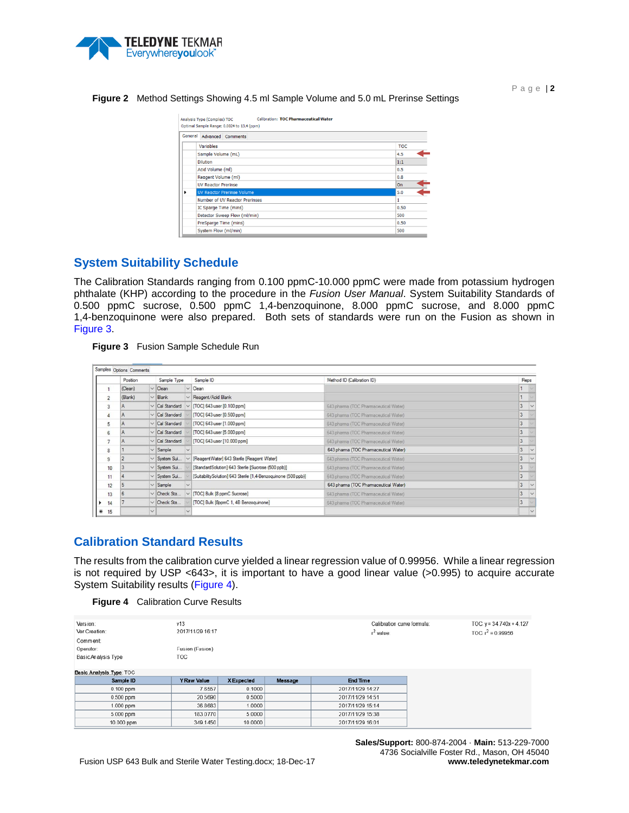

Analysis Type (Complex): TOC Calibration: TOC Pharmaceutical Water Optimal Sample Range: 0.0024 to 13.4 (ppm) General Advanced Comments Variables **TOC** Sample Volume (mL)  $4.5$ **Dilution**  $1\mathrm{:}1$ Acid Volume (ml)  $0.5$ Reagent Volume (ml) 0.8 **UV Reactor Prerinse** On Number of UV Reactor Prerinses IC Sparge Time (mins) 0.50 Detector Sweep Flow (ml/min) 500 PreSparge Time (mins) 0.50 System Flow (ml/min) 500

#### <span id="page-1-0"></span>**Figure 2** Method Settings Showing 4.5 ml Sample Volume and 5.0 mL Prerinse Settings

### **System Suitability Schedule**

The Calibration Standards ranging from 0.100 ppmC-10.000 ppmC were made from potassium hydrogen phthalate (KHP) according to the procedure in the *Fusion User Manual*. System Suitability Standards of 0.500 ppmC sucrose, 0.500 ppmC 1,4-benzoquinone, 8.000 ppmC sucrose, and 8.000 ppmC 1,4-benzoquinone were also prepared. Both sets of standards were run on the Fusion as shown in [Figure 3.](#page-1-1)

<span id="page-1-1"></span>

|  | <b>Figure 3</b> Fusion Sample Schedule Run |  |
|--|--------------------------------------------|--|
|--|--------------------------------------------|--|

|    | Position       |              | Sample Type         |              | Sample ID                                                      | Method ID (Calibration ID)            | Reps           |        |
|----|----------------|--------------|---------------------|--------------|----------------------------------------------------------------|---------------------------------------|----------------|--------|
|    | (Clean)        |              | $\vee$ Clean        |              | $\vee$ Clean                                                   |                                       |                |        |
| 2  | (Blank)        |              | $\vee$ Blank        |              | $\vee$ Reagent/Acid Blank                                      |                                       |                |        |
|    | IA.            |              | $\vee$ Cal Standard |              | [TOC] 643 user [0.100 ppm]                                     | 643 pharma (TOC Pharmaceutical Water) | 3              |        |
|    | IA.            |              | $\vee$ Cal Standard |              | [TOC] 643 user [0.500 ppm]                                     | 643 pharma (TOC Pharmaceutical Water) |                |        |
| 5  | ۱A             |              | $\vee$ Cal Standard |              | [TOC] 643 user [1.000 ppm]                                     | 643 pharma (TOC Pharmaceutical Water) |                |        |
| 6  | IA.            |              | $\vee$ Cal Standard |              | [TOC] 643 user [5,000 ppm]                                     | 643 pharma (TOC Pharmaceutical Water) |                |        |
|    | IA.            |              | $\vee$ Cal Standard |              | [TOC] 643 user [10.000 ppm]                                    | 643 pharma (TOC Pharmaceutical Water) |                |        |
| 8  |                |              | $\vee$ Sample       |              |                                                                | 643 pharma (TOC Pharmaceutical Water) | $\overline{3}$ |        |
| 9  | $\overline{2}$ |              | $\vee$ System Sui   | $\checkmark$ | [ReagentWater] 643 Sterile [Reagent Water]                     | 643 pharma (TOC Pharmaceutical Water) |                |        |
| 10 | 3              |              | $\vee$ System Sui   |              | [Standard Solution] 643 Sterile [Sucrose (500 ppb)]            | 643 pharma (TOC Pharmaceutical Water) |                |        |
| 11 | z              |              | $\vee$ System Sui   |              | [SuitabilitySolution] 643 Sterile [1,4-Benzoquinone (500 ppb)] | 643 pharma (TOC Pharmaceutical Water) | 3              |        |
| 12 | 5              |              | $\vee$ Sample       |              |                                                                | 643 pharma (TOC Pharmaceutical Water) | $\overline{3}$ |        |
| 13 | 6              |              | $\vee$ Check Sta    |              | $\vee$ [TOC] Bulk [8 ppmC Sucrose]                             | 643 pharma (TOC Pharmaceutical Water) | 3              |        |
| 14 |                |              | $\vee$ Check Sta    |              | [TOC] Bulk [8ppmC 1, 4B Benzoquinone]                          | 643 pharma (TOC Pharmaceutical Water) | 3              |        |
| 15 |                | $\checkmark$ |                     |              |                                                                |                                       |                | $\vee$ |

## **Calibration Standard Results**

The results from the calibration curve yielded a linear regression value of 0.99956. While a linear regression is not required by USP <643>, it is important to have a good linear value (>0.995) to acquire accurate System Suitability results [\(Figure 4\)](#page-1-2).

<span id="page-1-2"></span>

| Version:<br>Ver Creation: | v13<br>2017/11/29 16:17 |            |         | Calibration curve formula:<br>$r^2$ value: |
|---------------------------|-------------------------|------------|---------|--------------------------------------------|
| Comment:                  |                         |            |         |                                            |
| Operator:                 | Fusion (Fusion)         |            |         |                                            |
| Basic Analysis Type       | TOC                     |            |         |                                            |
|                           |                         |            |         |                                            |
| Basic Analysis Type: TOC  |                         |            |         |                                            |
| Sample ID                 | <b>Y Raw Value</b>      | X Expected | Message | <b>End Time</b>                            |
| $0.100$ ppm               | 76557                   | 0.1000     |         | 2017/11/29 14:27                           |
| $0.500$ ppm               | 20,5690                 | 0.5000     |         | 2017/11/29 14:51                           |
| $1.000$ ppm               | 36.8683                 | 1.0000     |         | 2017/11/29 15:14                           |
| 5.000 ppm                 | 183,0770                | 5.0000     |         | 2017/11/29 15:38                           |
| 10.000 ppm                | 349.1450                | 10.0000    |         | 2017/11/29 16:01                           |

**Sales/Support:** 800-874-2004 · **Main:** 513-229-7000 4736 Socialville Foster Rd., Mason, OH 45040 **www.teledynetekmar.com**

Page | **2**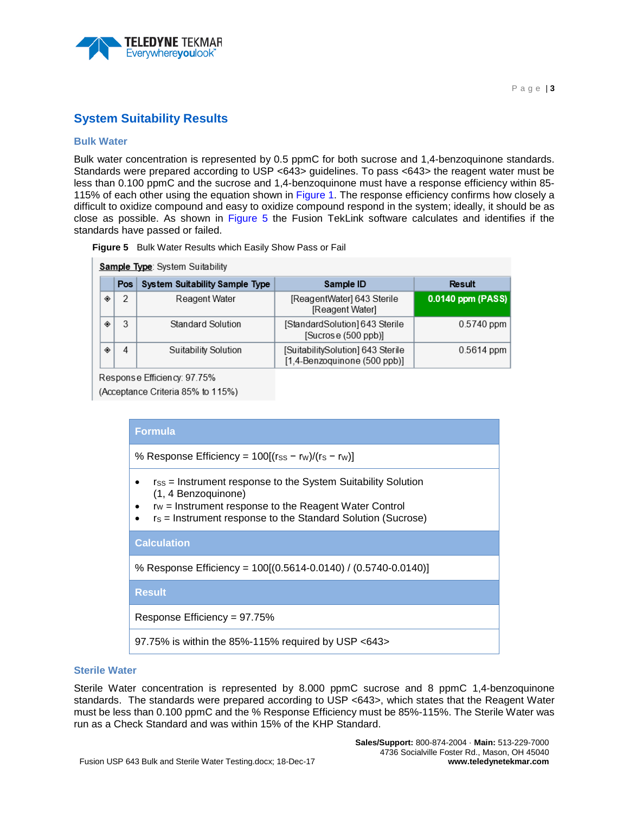

## **System Suitability Results**

### **Bulk Water**

Bulk water concentration is represented by 0.5 ppmC for both sucrose and 1.4-benzoquinone standards. Standards were prepared according to USP <643> guidelines. To pass <643> the reagent water must be less than 0.100 ppmC and the sucrose and 1,4-benzoquinone must have a response efficiency within 85- 115% of each other using the equation shown in [Figure 1.](#page-0-0) The response efficiency confirms how closely a difficult to oxidize compound and easy to oxidize compound respond in the system; ideally, it should be as close as possible. As shown in [Figure 5](#page-2-0) the Fusion TekLink software calculates and identifies if the standards have passed or failed.

<span id="page-2-0"></span>

|  | <b>Figure 5</b> Bulk Water Results which Easily Show Pass or Fail |  |  |  |  |  |  |
|--|-------------------------------------------------------------------|--|--|--|--|--|--|
|--|-------------------------------------------------------------------|--|--|--|--|--|--|

|   | <b>Sample Type:</b> System Suitability |                                       |                                                                   |                   |  |  |  |  |  |  |
|---|----------------------------------------|---------------------------------------|-------------------------------------------------------------------|-------------------|--|--|--|--|--|--|
|   | Pos                                    | <b>System Suitability Sample Type</b> | Sample ID                                                         | Result            |  |  |  |  |  |  |
| ۰ | 2                                      | Reagent Water                         | [ReagentWater] 643 Sterile<br>[Reagent Water]                     | 0.0140 ppm (PASS) |  |  |  |  |  |  |
| ۰ | 3                                      | Standard Solution                     | [StandardSolution] 643 Sterile<br>[Sucrose (500 ppb)]             | $0.5740$ ppm      |  |  |  |  |  |  |
| ۰ | 4                                      | Suitability Solution                  | [SuitabilitySolution] 643 Sterile<br>[1,4-Benzoquinone (500 ppb)] | $0.5614$ ppm      |  |  |  |  |  |  |

Response Efficiency: 97.75%

(Acceptance Criteria 85% to 115%)

| <b>Formula</b>                                                                                                                                                                                                     |  |  |  |  |  |  |
|--------------------------------------------------------------------------------------------------------------------------------------------------------------------------------------------------------------------|--|--|--|--|--|--|
| % Response Efficiency = $100[(rs - rw)/(rs - rw)]$                                                                                                                                                                 |  |  |  |  |  |  |
| $r_{SS}$ = Instrument response to the System Suitability Solution<br>(1, 4 Benzoquinone)<br>$rw =$ Instrument response to the Reagent Water Control<br>rs = Instrument response to the Standard Solution (Sucrose) |  |  |  |  |  |  |
| <b>Calculation</b>                                                                                                                                                                                                 |  |  |  |  |  |  |
| % Response Efficiency = 100[(0.5614-0.0140) / (0.5740-0.0140)]                                                                                                                                                     |  |  |  |  |  |  |
| <b>Result</b>                                                                                                                                                                                                      |  |  |  |  |  |  |
| Response Efficiency = $97.75%$                                                                                                                                                                                     |  |  |  |  |  |  |
| 97.75% is within the 85%-115% required by USP $<643>$                                                                                                                                                              |  |  |  |  |  |  |

### **Sterile Water**

Sterile Water concentration is represented by 8.000 ppmC sucrose and 8 ppmC 1,4-benzoquinone standards. The standards were prepared according to USP <643>, which states that the Reagent Water must be less than 0.100 ppmC and the % Response Efficiency must be 85%-115%. The Sterile Water was run as a Check Standard and was within 15% of the KHP Standard.